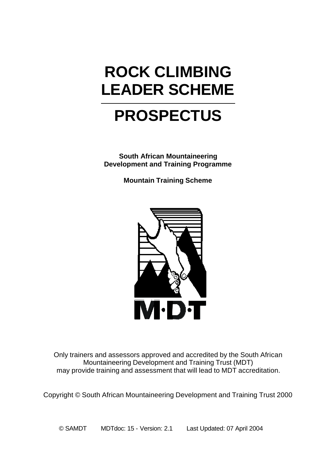# **ROCK CLIMBING LEADER SCHEME**

# **PROSPECTUS**

**South African Mountaineering Development and Training Programme**

**Mountain Training Scheme**



Only trainers and assessors approved and accredited by the South African Mountaineering Development and Training Trust (MDT) may provide training and assessment that will lead to MDT accreditation.

Copyright © South African Mountaineering Development and Training Trust 2000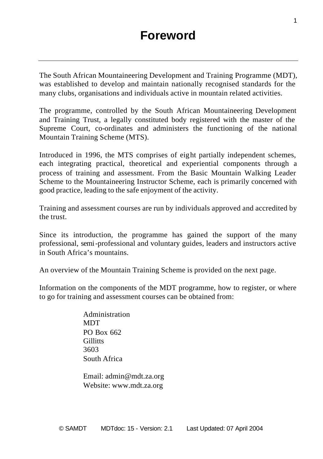The South African Mountaineering Development and Training Programme (MDT), was established to develop and maintain nationally recognised standards for the many clubs, organisations and individuals active in mountain related activities.

The programme, controlled by the South African Mountaineering Development and Training Trust, a legally constituted body registered with the master of the Supreme Court, co-ordinates and administers the functioning of the national Mountain Training Scheme (MTS).

Introduced in 1996, the MTS comprises of eight partially independent schemes, each integrating practical, theoretical and experiential components through a process of training and assessment. From the Basic Mountain Walking Leader Scheme to the Mountaineering Instructor Scheme, each is primarily concerned with good practice, leading to the safe enjoyment of the activity.

Training and assessment courses are run by individuals approved and accredited by the trust.

Since its introduction, the programme has gained the support of the many professional, semi-professional and voluntary guides, leaders and instructors active in South Africa's mountains.

An overview of the Mountain Training Scheme is provided on the next page.

Information on the components of the MDT programme, how to register, or where to go for training and assessment courses can be obtained from:

> Administration **MDT** PO Box 662 **Gillitts** 3603 South Africa

Email: admin@mdt.za.org Website: www.mdt.za.org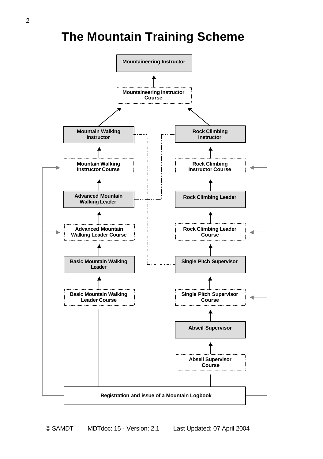### **The Mountain Training Scheme**

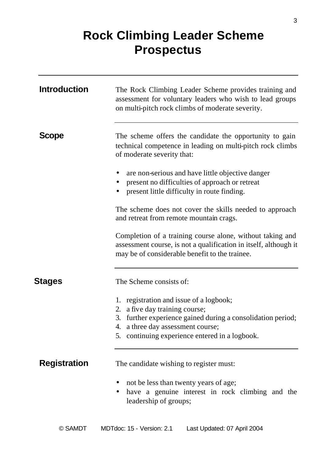## **Rock Climbing Leader Scheme Prospectus**

| <b>Introduction</b> | The Rock Climbing Leader Scheme provides training and<br>assessment for voluntary leaders who wish to lead groups<br>on multi-pitch rock climbs of moderate severity.                                                           |
|---------------------|---------------------------------------------------------------------------------------------------------------------------------------------------------------------------------------------------------------------------------|
| <b>Scope</b>        | The scheme offers the candidate the opportunity to gain<br>technical competence in leading on multi-pitch rock climbs<br>of moderate severity that:                                                                             |
|                     | are non-serious and have little objective danger<br>present no difficulties of approach or retreat<br>present little difficulty in route finding.                                                                               |
|                     | The scheme does not cover the skills needed to approach<br>and retreat from remote mountain crags.                                                                                                                              |
|                     | Completion of a training course alone, without taking and<br>assessment course, is not a qualification in itself, although it<br>may be of considerable benefit to the trainee.                                                 |
| Stages              | The Scheme consists of:                                                                                                                                                                                                         |
|                     | 1. registration and issue of a logbook;<br>2. a five day training course;<br>3. further experience gained during a consolidation period;<br>4. a three day assessment course;<br>5. continuing experience entered in a logbook. |
| <b>Registration</b> | The candidate wishing to register must:<br>• not be less than twenty years of age;<br>have a genuine interest in rock climbing and the<br>leadership of groups;                                                                 |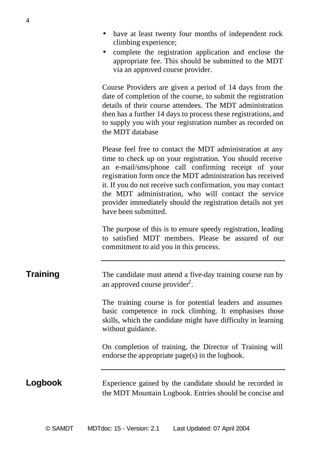- have at least twenty four months of independent rock climbing experience;
- complete the registration application and enclose the appropriate fee. This should be submitted to the MDT via an approved course provider.

Course Providers are given a period of 14 days from the date of completion of the course, to submit the registration details of their course attendees. The MDT administration then has a further 14 days to process these registrations, and to supply you with your registration number as recorded on the MDT database

Please feel free to contact the MDT administration at any time to check up on your registration. You should receive an e-mail/sms/phone call confirming receipt of your registration form once the MDT administration has received it. If you do not receive such confirmation, you may contact the MDT administration, who will contact the service provider immediately should the registration details not yet have been submitted.

The purpose of this is to ensure speedy registration, leading to satisfied MDT members. Please be assured of our commitment to aid you in this process.

| <b>Training</b> | The candidate must attend a five-day training course run by |
|-----------------|-------------------------------------------------------------|
|                 | an approved course provider <sup>2</sup> .                  |

The training course is for potential leaders and assumes basic competence in rock climbing. It emphasises those skills, which the candidate might have difficulty in learning without guidance.

On completion of training, the Director of Training will endorse the appropriate page(s) in the logbook.

**Logbook** Experience gained by the candidate should be recorded in the MDT Mountain Logbook. Entries should be concise and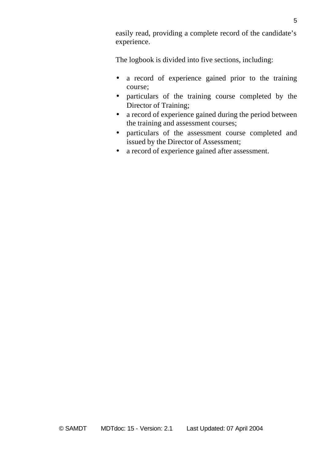easily read, providing a complete record of the candidate's experience.

The logbook is divided into five sections, including:

- a record of experience gained prior to the training course;
- particulars of the training course completed by the Director of Training;
- a record of experience gained during the period between the training and assessment courses;
- particulars of the assessment course completed and issued by the Director of Assessment;
- a record of experience gained after assessment.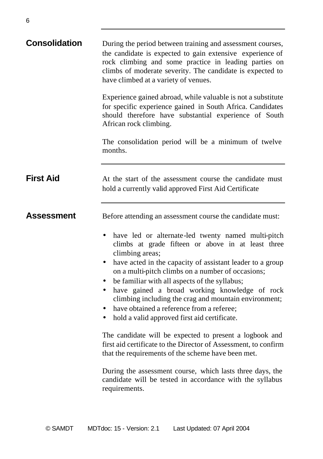| <b>Consolidation</b> | During the period between training and assessment courses,<br>the candidate is expected to gain extensive experience of<br>rock climbing and some practice in leading parties on<br>climbs of moderate severity. The candidate is expected to<br>have climbed at a variety of venues.                                                                                                                                                                                                                 |
|----------------------|-------------------------------------------------------------------------------------------------------------------------------------------------------------------------------------------------------------------------------------------------------------------------------------------------------------------------------------------------------------------------------------------------------------------------------------------------------------------------------------------------------|
|                      | Experience gained abroad, while valuable is not a substitute<br>for specific experience gained in South Africa. Candidates<br>should therefore have substantial experience of South<br>African rock climbing.                                                                                                                                                                                                                                                                                         |
|                      | The consolidation period will be a minimum of twelve<br>months.                                                                                                                                                                                                                                                                                                                                                                                                                                       |
| <b>First Aid</b>     | At the start of the assessment course the candidate must<br>hold a currently valid approved First Aid Certificate                                                                                                                                                                                                                                                                                                                                                                                     |
| Assessment           | Before attending an assessment course the candidate must:                                                                                                                                                                                                                                                                                                                                                                                                                                             |
|                      | have led or alternate-led twenty named multi-pitch<br>climbs at grade fifteen or above in at least three<br>climbing areas;<br>have acted in the capacity of assistant leader to a group<br>on a multi-pitch climbs on a number of occasions;<br>be familiar with all aspects of the syllabus;<br>have gained a broad working knowledge of rock<br>climbing including the crag and mountain environment;<br>have obtained a reference from a referee;<br>hold a valid approved first aid certificate. |
|                      | The candidate will be expected to present a logbook and<br>first aid certificate to the Director of Assessment, to confirm<br>that the requirements of the scheme have been met.                                                                                                                                                                                                                                                                                                                      |
|                      | During the assessment course, which lasts three days, the<br>candidate will be tested in accordance with the syllabus<br>requirements.                                                                                                                                                                                                                                                                                                                                                                |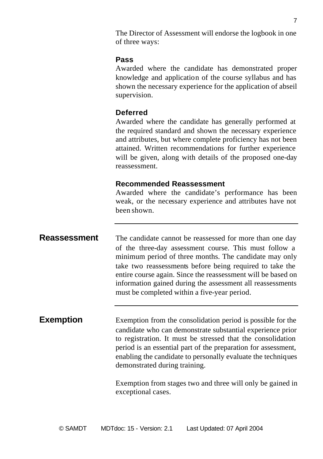The Director of Assessment will endorse the logbook in one of three ways:

#### **Pass**

Awarded where the candidate has demonstrated proper knowledge and application of the course syllabus and has shown the necessary experience for the application of abseil supervision.

#### **Deferred**

Awarded where the candidate has generally performed at the required standard and shown the necessary experience and attributes, but where complete proficiency has not been attained. Written recommendations for further experience will be given, along with details of the proposed one-day reassessment.

#### **Recommended Reassessment**

Awarded where the candidate's performance has been weak, or the necessary experience and attributes have not been shown.

**Reassessment** The candidate cannot be reassessed for more than one day of the three-day assessment course. This must follow a minimum period of three months. The candidate may only take two reassessments before being required to take the entire course again. Since the reassessment will be based on information gained during the assessment all reassessments must be completed within a five-year period.

**Exemption** Exemption from the consolidation period is possible for the candidate who can demonstrate substantial experience prior to registration. It must be stressed that the consolidation period is an essential part of the preparation for assessment, enabling the candidate to personally evaluate the techniques demonstrated during training.

> Exemption from stages two and three will only be gained in exceptional cases.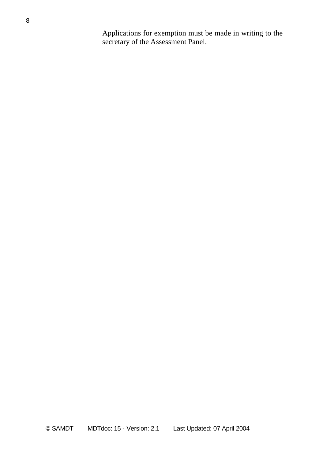Applications for exemption must be made in writing to the secretary of the Assessment Panel.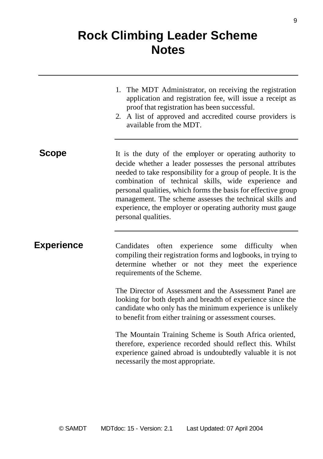## **Rock Climbing Leader Scheme Notes**

|              | 1. The MDT Administrator, on receiving the registration<br>application and registration fee, will issue a receipt as<br>proof that registration has been successful.<br>2. A list of approved and accredited course providers is<br>available from the MDT.                                                                                                                                                                                                       |
|--------------|-------------------------------------------------------------------------------------------------------------------------------------------------------------------------------------------------------------------------------------------------------------------------------------------------------------------------------------------------------------------------------------------------------------------------------------------------------------------|
| <b>Scope</b> | It is the duty of the employer or operating authority to<br>decide whether a leader possesses the personal attributes<br>needed to take responsibility for a group of people. It is the<br>combination of technical skills, wide experience and<br>personal qualities, which forms the basis for effective group<br>management. The scheme assesses the technical skills and<br>experience, the employer or operating authority must gauge<br>personal qualities. |
| Experience   | Candidates often experience<br>some difficulty when<br>compiling their registration forms and logbooks, in trying to<br>determine whether or not they meet the experience<br>requirements of the Scheme.                                                                                                                                                                                                                                                          |
|              | The Director of Assessment and the Assessment Panel are<br>looking for both depth and breadth of experience since the<br>candidate who only has the minimum experience is unlikely<br>to benefit from either training or assessment courses.                                                                                                                                                                                                                      |
|              | The Mountain Training Scheme is South Africa oriented,<br>therefore, experience recorded should reflect this. Whilst<br>experience gained abroad is undoubtedly valuable it is not<br>necessarily the most appropriate.                                                                                                                                                                                                                                           |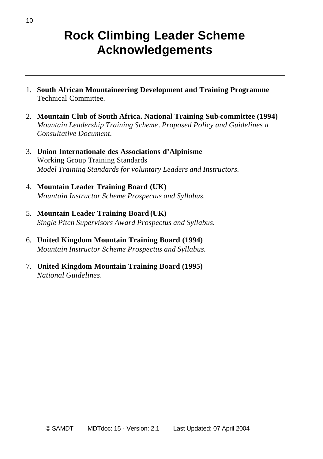### **Rock Climbing Leader Scheme Acknowledgements**

- 1. **South African Mountaineering Development and Training Programme** Technical Committee.
- 2. **Mountain Club of South Africa. National Training Sub-committee (1994)** *Mountain Leadership Training Scheme*. *Proposed Policy and Guidelines a Consultative Document.*
- 3. **Union Internationale des Associations d'Alpinisme** Working Group Training Standards *Model Training Standards for voluntary Leaders and Instructors.*
- 4. **Mountain Leader Training Board (UK)** *Mountain Instructor Scheme Prospectus and Syllabus.*
- 5. **Mountain Leader Training Board (UK)** *Single Pitch Supervisors Award Prospectus and Syllabus.*
- 6. **United Kingdom Mountain Training Board (1994)** *Mountain Instructor Scheme Prospectus and Syllabus*.
- 7. **United Kingdom Mountain Training Board (1995)** *National Guidelines*.